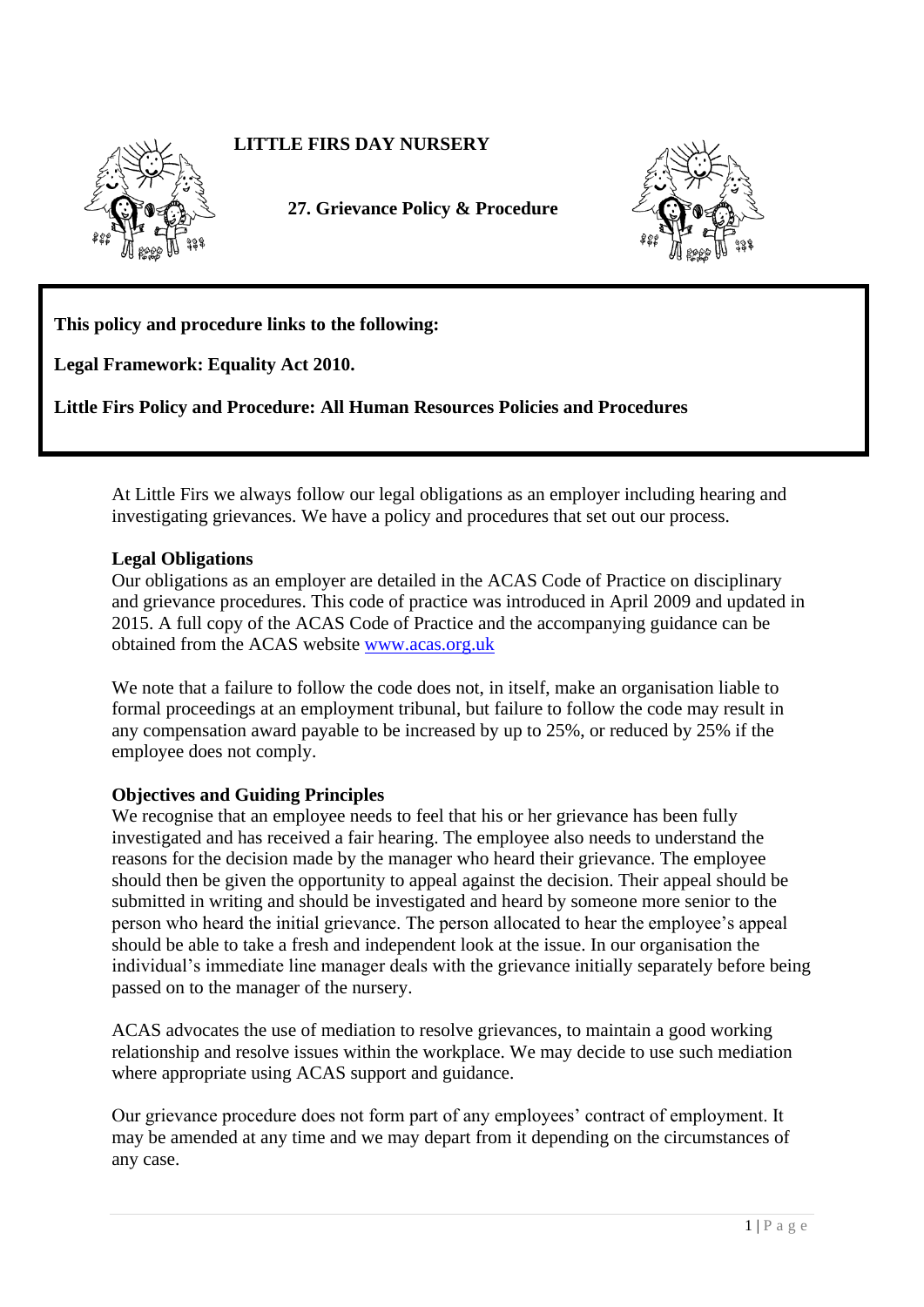# **LITTLE FIRS DAY NURSERY**



**27. Grievance Policy & Procedure** 



**This policy and procedure links to the following:** 

**Legal Framework: Equality Act 2010.**

**Little Firs Policy and Procedure: All Human Resources Policies and Procedures**

At Little Firs we always follow our legal obligations as an employer including hearing and investigating grievances. We have a policy and procedures that set out our process.

### **Legal Obligations**

Our obligations as an employer are detailed in the ACAS Code of Practice on disciplinary and grievance procedures. This code of practice was introduced in April 2009 and updated in 2015. A full copy of the ACAS Code of Practice and the accompanying guidance can be obtained from the ACAS website [www.acas.org.uk](http://www.acas.org.uk/)

We note that a failure to follow the code does not, in itself, make an organisation liable to formal proceedings at an employment tribunal, but failure to follow the code may result in any compensation award payable to be increased by up to 25%, or reduced by 25% if the employee does not comply.

#### **Objectives and Guiding Principles**

We recognise that an employee needs to feel that his or her grievance has been fully investigated and has received a fair hearing. The employee also needs to understand the reasons for the decision made by the manager who heard their grievance. The employee should then be given the opportunity to appeal against the decision. Their appeal should be submitted in writing and should be investigated and heard by someone more senior to the person who heard the initial grievance. The person allocated to hear the employee's appeal should be able to take a fresh and independent look at the issue. In our organisation the individual's immediate line manager deals with the grievance initially separately before being passed on to the manager of the nursery.

ACAS advocates the use of mediation to resolve grievances, to maintain a good working relationship and resolve issues within the workplace. We may decide to use such mediation where appropriate using ACAS support and guidance.

Our grievance procedure does not form part of any employees' contract of employment. It may be amended at any time and we may depart from it depending on the circumstances of any case.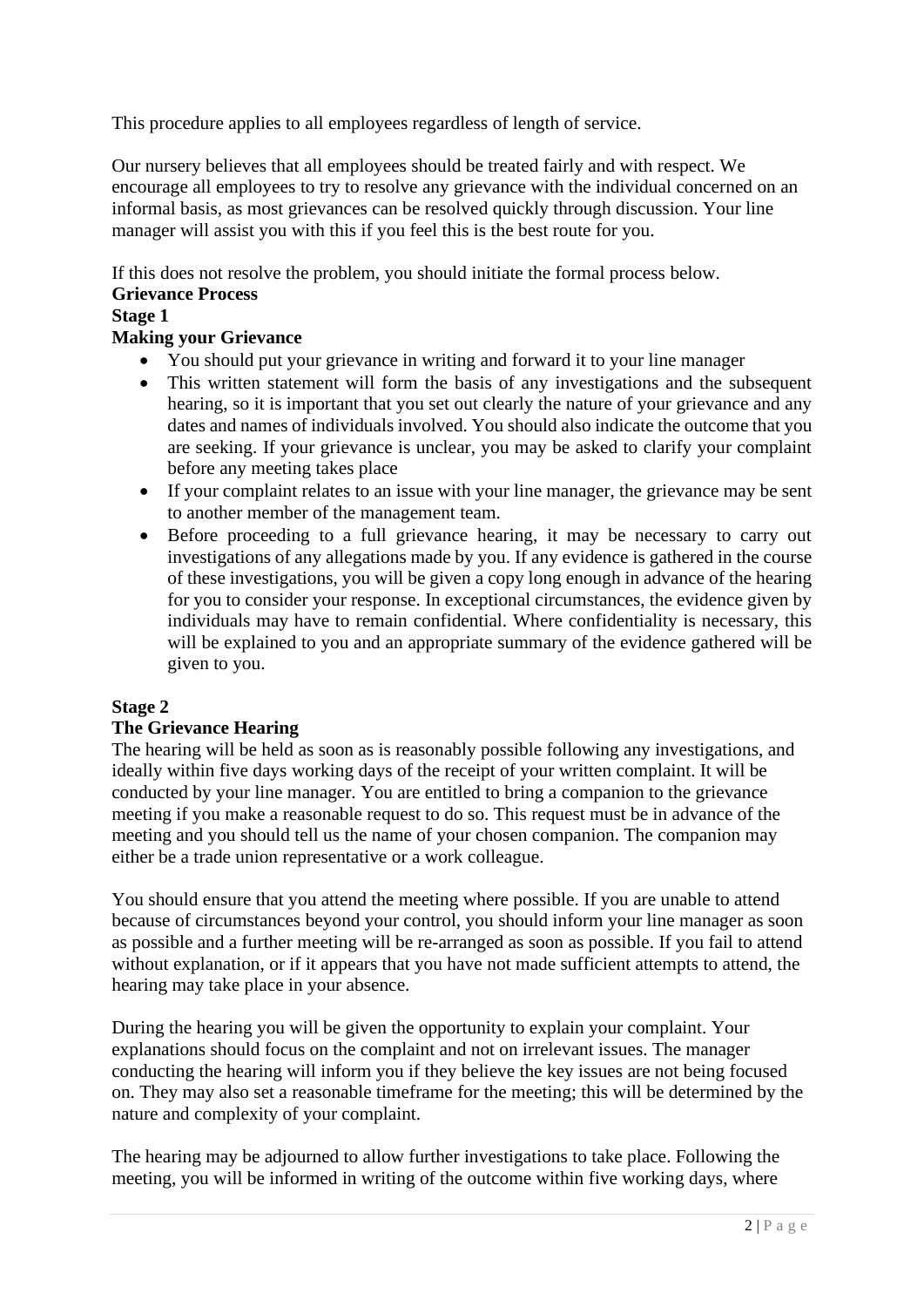This procedure applies to all employees regardless of length of service.

Our nursery believes that all employees should be treated fairly and with respect. We encourage all employees to try to resolve any grievance with the individual concerned on an informal basis, as most grievances can be resolved quickly through discussion. Your line manager will assist you with this if you feel this is the best route for you.

If this does not resolve the problem, you should initiate the formal process below.

### **Grievance Process**

### **Stage 1**

## **Making your Grievance**

- You should put your grievance in writing and forward it to your line manager
- This written statement will form the basis of any investigations and the subsequent hearing, so it is important that you set out clearly the nature of your grievance and any dates and names of individuals involved. You should also indicate the outcome that you are seeking. If your grievance is unclear, you may be asked to clarify your complaint before any meeting takes place
- If your complaint relates to an issue with your line manager, the grievance may be sent to another member of the management team.
- Before proceeding to a full grievance hearing, it may be necessary to carry out investigations of any allegations made by you. If any evidence is gathered in the course of these investigations, you will be given a copy long enough in advance of the hearing for you to consider your response. In exceptional circumstances, the evidence given by individuals may have to remain confidential. Where confidentiality is necessary, this will be explained to you and an appropriate summary of the evidence gathered will be given to you.

## **Stage 2**

## **The Grievance Hearing**

The hearing will be held as soon as is reasonably possible following any investigations, and ideally within five days working days of the receipt of your written complaint. It will be conducted by your line manager. You are entitled to bring a companion to the grievance meeting if you make a reasonable request to do so. This request must be in advance of the meeting and you should tell us the name of your chosen companion. The companion may either be a trade union representative or a work colleague.

You should ensure that you attend the meeting where possible. If you are unable to attend because of circumstances beyond your control, you should inform your line manager as soon as possible and a further meeting will be re-arranged as soon as possible. If you fail to attend without explanation, or if it appears that you have not made sufficient attempts to attend, the hearing may take place in your absence.

During the hearing you will be given the opportunity to explain your complaint. Your explanations should focus on the complaint and not on irrelevant issues. The manager conducting the hearing will inform you if they believe the key issues are not being focused on. They may also set a reasonable timeframe for the meeting; this will be determined by the nature and complexity of your complaint.

The hearing may be adjourned to allow further investigations to take place. Following the meeting, you will be informed in writing of the outcome within five working days, where